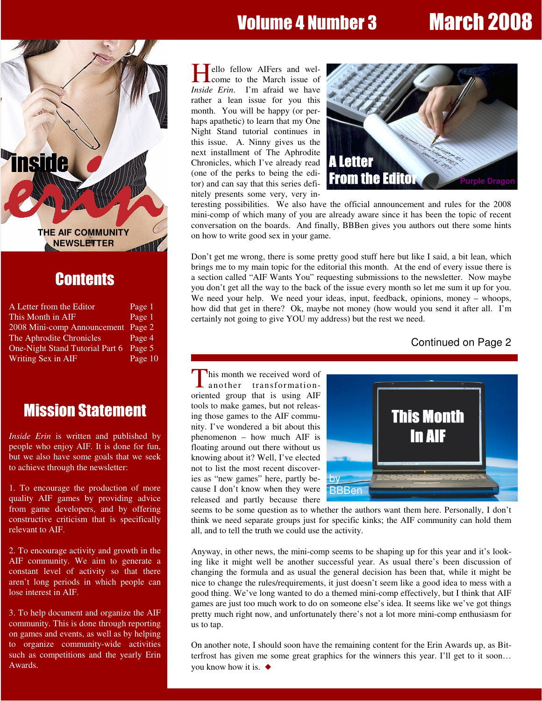**H**ello fellow AIFers and wel-<br>
come to the March issue of<br> *Inside Erin*. I'm afraid we have ello fellow AIFers and welcome to the March issue of rather a lean issue for you this month. You will be happy (or perhaps apathetic) to learn that my One Night Stand tutorial continues in this issue. A. Ninny gives us the next installment of The Aphrodite Chronicles, which I've already read (one of the perks to being the editor) and can say that this series definitely presents some very, very in-



teresting possibilities. We also have the official announcement and rules for the 2008 mini-comp of which many of you are already aware since it has been the topic of recent conversation on the boards. And finally, BBBen gives you authors out there some hints on how to write good sex in your game.

Don't get me wrong, there is some pretty good stuff here but like I said, a bit lean, which brings me to my main topic for the editorial this month. At the end of every issue there is a section called "AIF Wants You" requesting submissions to the newsletter. Now maybe you don't get all the way to the back of the issue every month so let me sum it up for you. We need your help. We need your ideas, input, feedback, opinions, money – whoops, how did that get in there? Ok, maybe not money (how would you send it after all. I'm certainly not going to give YOU my address) but the rest we need.

### Continued on Page 2

This month we received word of<br>another transformationhis month we received word of oriented group that is using AIF tools to make games, but not releasing those games to the AIF community. I've wondered a bit about this phenomenon – how much AIF is floating around out there without us knowing about it? Well, I've elected not to list the most recent discoveries as "new games" here, partly because I don't know when they were released and partly because there



seems to be some question as to whether the authors want them here. Personally, I don't think we need separate groups just for specific kinks; the AIF community can hold them all, and to tell the truth we could use the activity.

Anyway, in other news, the mini-comp seems to be shaping up for this year and it's looking like it might well be another successful year. As usual there's been discussion of changing the formula and as usual the general decision has been that, while it might be nice to change the rules/requirements, it just doesn't seem like a good idea to mess with a good thing. We've long wanted to do a themed mini-comp effectively, but I think that AIF games are just too much work to do on someone else's idea. It seems like we've got things pretty much right now, and unfortunately there's not a lot more mini-comp enthusiasm for us to tap.

On another note, I should soon have the remaining content for the Erin Awards up, as Bitterfrost has given me some great graphics for the winners this year. I'll get to it soon… you know how it is.  $\triangleleft$ 

**THE AIF COMMUNITY NEWSLETTER**

ITA

### **Contents**

| A Letter from the Editor        | Page 1  |
|---------------------------------|---------|
| This Month in AIF               | Page 1  |
| 2008 Mini-comp Announcement     | Page 2  |
| The Aphrodite Chronicles        | Page 4  |
| One-Night Stand Tutorial Part 6 | Page 5  |
| Writing Sex in AIF              | Page 10 |

### **Mission Statement**

*Inside Erin* is written and published by people who enjoy AIF. It is done for fun, but we also have some goals that we seek to achieve through the newsletter:

1. To encourage the production of more quality AIF games by providing advice from game developers, and by offering constructive criticism that is specifically relevant to AIF.

2. To encourage activity and growth in the AIF community. We aim to generate a constant level of activity so that there aren't long periods in which people can lose interest in AIF.

3. To help document and organize the AIF community. This is done through reporting on games and events, as well as by helping to organize community-wide activities such as competitions and the yearly Erin Awards.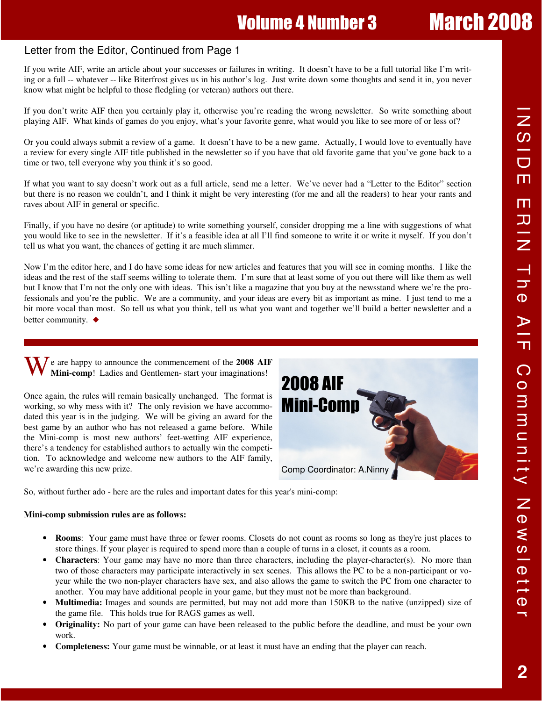u n

<u>i se</u>  $\overline{\phantom{0}}$  $\geq$ 

> $\overline{\angle}$  $\overline{\mathbf{C}}$ w  $\mathcal{O}$ line and the control of  $\overline{\mathbf{C}}$  $\frac{1}{1}$

# Volume 4 Number 3 March 2008

### Letter from the Editor, Continued from Page 1

If you write AIF, write an article about your successes or failures in writing. It doesn't have to be a full tutorial like I'm writing or a full -- whatever -- like Biterfrost gives us in his author's log. Just write down some thoughts and send it in, you never know what might be helpful to those fledgling (or veteran) authors out there.

If you don't write AIF then you certainly play it, otherwise you're reading the wrong newsletter. So write something about playing AIF. What kinds of games do you enjoy, what's your favorite genre, what would you like to see more of or less of?

Or you could always submit a review of a game. It doesn't have to be a new game. Actually, I would love to eventually have a review for every single AIF title published in the newsletter so if you have that old favorite game that you've gone back to a time or two, tell everyone why you think it's so good.

If what you want to say doesn't work out as a full article, send me a letter. We've never had a "Letter to the Editor" section but there is no reason we couldn't, and I think it might be very interesting (for me and all the readers) to hear your rants and raves about AIF in general or specific.

Finally, if you have no desire (or aptitude) to write something yourself, consider dropping me a line with suggestions of what you would like to see in the newsletter. If it's a feasible idea at all I'll find someone to write it or write it myself. If you don't tell us what you want, the chances of getting it are much slimmer.

Now I'm the editor here, and I do have some ideas for new articles and features that you will see in coming months. I like the ideas and the rest of the staff seems willing to tolerate them. I'm sure that at least some of you out there will like them as well but I know that I'm not the only one with ideas. This isn't like a magazine that you buy at the newsstand where we're the professionals and you're the public. We are a community, and your ideas are every bit as important as mine. I just tend to me a bit more vocal than most. So tell us what you think, tell us what you want and together we'll build a better newsletter and a better community. ◆

We are happy to announce the commencement of the **2008 AIF Mini-comp**! Ladies and Gentlemen- start your imaginations!

Once again, the rules will remain basically unchanged. The format is working, so why mess with it? The only revision we have accommodated this year is in the judging. We will be giving an award for the best game by an author who has not released a game before. While the Mini-comp is most new authors' feet-wetting AIF experience, there's a tendency for established authors to actually win the competition. To acknowledge and welcome new authors to the AIF family, we're awarding this new prize.



So, without further ado - here are the rules and important dates for this year's mini-comp:

#### **Mini-comp submission rules are as follows:**

- **Rooms**: Your game must have three or fewer rooms. Closets do not count as rooms so long as they're just places to store things. If your player is required to spend more than a couple of turns in a closet, it counts as a room.
- **Characters**: Your game may have no more than three characters, including the player-character(s). No more than two of those characters may participate interactively in sex scenes. This allows the PC to be a non-participant or voyeur while the two non-player characters have sex, and also allows the game to switch the PC from one character to another. You may have additional people in your game, but they must not be more than background.
- **Multimedia:** Images and sounds are permitted, but may not add more than 150KB to the native (unzipped) size of the game file. This holds true for RAGS games as well.
- **Originality:** No part of your game can have been released to the public before the deadline, and must be your own work.
- **Completeness:** Your game must be winnable, or at least it must have an ending that the player can reach.

 $\mathbf \Phi$  $\overline{\phantom{a}}$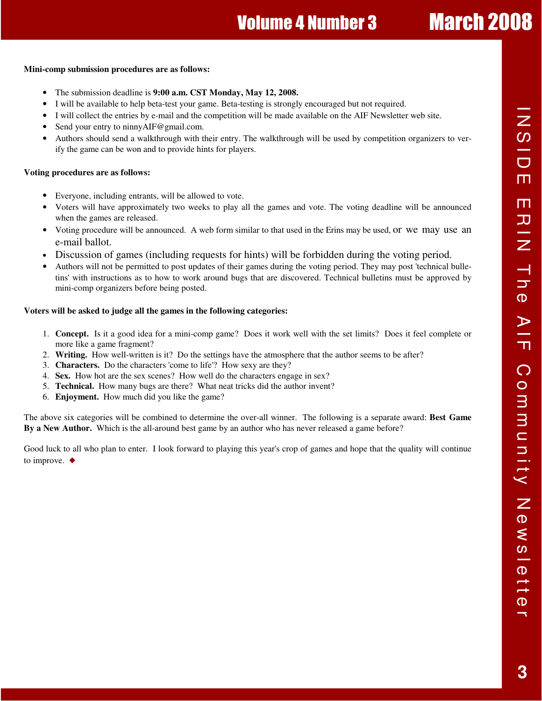#### **Mini-comp submission procedures are as follows:**

- The submission deadline is **9:00 a.m. CST Monday, May 12, 2008.**
- I will be available to help beta-test your game. Beta-testing is strongly encouraged but not required.
- I will collect the entries by e-mail and the competition will be made available on the AIF Newsletter web site.
- Send your entry to ninnyAIF@gmail.com.
- Authors should send a walkthrough with their entry. The walkthrough will be used by competition organizers to verify the game can be won and to provide hints for players.

#### **Voting procedures are as follows:**

- Everyone, including entrants, will be allowed to vote.
- Voters will have approximately two weeks to play all the games and vote. The voting deadline will be announced when the games are released.
- Voting procedure will be announced. A web form similar to that used in the Erins may be used, or we may use an e-mail ballot.
- Discussion of games (including requests for hints) will be forbidden during the voting period.
- Authors will not be permitted to post updates of their games during the voting period. They may post 'technical bulletins' with instructions as to how to work around bugs that are discovered. Technical bulletins must be approved by mini-comp organizers before being posted.

#### **Voters will be asked to judge all the games in the following categories:**

- 1. **Concept.** Is it a good idea for a mini-comp game? Does it work well with the set limits? Does it feel complete or more like a game fragment?
- 2. **Writing.** How well-written is it? Do the settings have the atmosphere that the author seems to be after?
- 3. **Characters.** Do the characters 'come to life'? How sexy are they?
- 4. **Sex.** How hot are the sex scenes? How well do the characters engage in sex?
- 5. **Technical.** How many bugs are there? What neat tricks did the author invent?
- 6. **Enjoyment.** How much did you like the game?

The above six categories will be combined to determine the over-all winner. The following is a separate award: **Best Game By a New Author.** Which is the all-around best game by an author who has never released a game before?

Good luck to all who plan to enter. I look forward to playing this year's crop of games and hope that the quality will continue to improve. ◆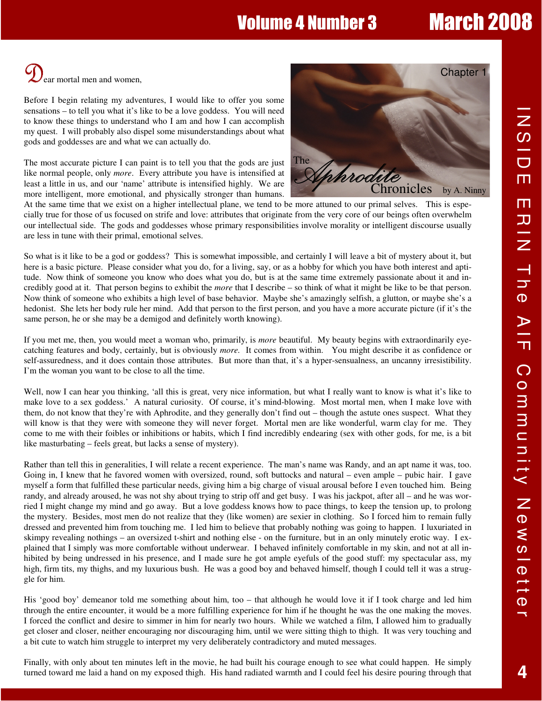'ear mortal men and women,

Before I begin relating my adventures, I would like to offer you some sensations – to tell you what it's like to be a love goddess. You will need to know these things to understand who I am and how I can accomplish my quest. I will probably also dispel some misunderstandings about what gods and goddesses are and what we can actually do.

The most accurate picture I can paint is to tell you that the gods are just like normal people, only *more*. Every attribute you have is intensified at least a little in us, and our 'name' attribute is intensified highly. We are more intelligent, more emotional, and physically stronger than humans.



At the same time that we exist on a higher intellectual plane, we tend to be more attuned to our primal selves. This is especially true for those of us focused on strife and love: attributes that originate from the very core of our beings often overwhelm our intellectual side. The gods and goddesses whose primary responsibilities involve morality or intelligent discourse usually are less in tune with their primal, emotional selves.

So what is it like to be a god or goddess? This is somewhat impossible, and certainly I will leave a bit of mystery about it, but here is a basic picture. Please consider what you do, for a living, say, or as a hobby for which you have both interest and aptitude. Now think of someone you know who does what you do, but is at the same time extremely passionate about it and incredibly good at it. That person begins to exhibit the *more* that I describe – so think of what it might be like to be that person. Now think of someone who exhibits a high level of base behavior. Maybe she's amazingly selfish, a glutton, or maybe she's a hedonist. She lets her body rule her mind. Add that person to the first person, and you have a more accurate picture (if it's the same person, he or she may be a demigod and definitely worth knowing).

If you met me, then, you would meet a woman who, primarily, is *more* beautiful. My beauty begins with extraordinarily eyecatching features and body, certainly, but is obviously *more.* It comes from within. You might describe it as confidence or self-assuredness, and it does contain those attributes. But more than that, it's a hyper-sensualness, an uncanny irresistibility. I'm the woman you want to be close to all the time.

Well, now I can hear you thinking, 'all this is great, very nice information, but what I really want to know is what it's like to make love to a sex goddess.' A natural curiosity. Of course, it's mind-blowing. Most mortal men, when I make love with them, do not know that they're with Aphrodite, and they generally don't find out – though the astute ones suspect. What they will know is that they were with someone they will never forget. Mortal men are like wonderful, warm clay for me. They come to me with their foibles or inhibitions or habits, which I find incredibly endearing (sex with other gods, for me, is a bit like masturbating – feels great, but lacks a sense of mystery).

Rather than tell this in generalities, I will relate a recent experience. The man's name was Randy, and an apt name it was, too. Going in, I knew that he favored women with oversized, round, soft buttocks and natural – even ample – pubic hair. I gave myself a form that fulfilled these particular needs, giving him a big charge of visual arousal before I even touched him. Being randy, and already aroused, he was not shy about trying to strip off and get busy. I was his jackpot, after all – and he was worried I might change my mind and go away. But a love goddess knows how to pace things, to keep the tension up, to prolong the mystery. Besides, most men do not realize that they (like women) are sexier in clothing. So I forced him to remain fully dressed and prevented him from touching me. I led him to believe that probably nothing was going to happen. I luxuriated in skimpy revealing nothings – an oversized t-shirt and nothing else - on the furniture, but in an only minutely erotic way. I explained that I simply was more comfortable without underwear. I behaved infinitely comfortable in my skin, and not at all inhibited by being undressed in his presence, and I made sure he got ample eyefuls of the good stuff: my spectacular ass, my high, firm tits, my thighs, and my luxurious bush. He was a good boy and behaved himself, though I could tell it was a struggle for him.

His 'good boy' demeanor told me something about him, too – that although he would love it if I took charge and led him through the entire encounter, it would be a more fulfilling experience for him if he thought he was the one making the moves. I forced the conflict and desire to simmer in him for nearly two hours. While we watched a film, I allowed him to gradually get closer and closer, neither encouraging nor discouraging him, until we were sitting thigh to thigh. It was very touching and a bit cute to watch him struggle to interpret my very deliberately contradictory and muted messages.

Finally, with only about ten minutes left in the movie, he had built his courage enough to see what could happen. He simply turned toward me laid a hand on my exposed thigh. His hand radiated warmth and I could feel his desire pouring through that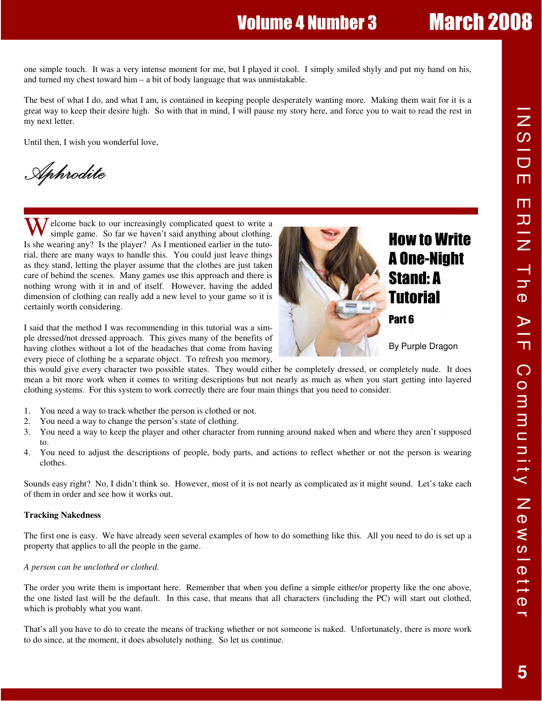one simple touch. It was a very intense moment for me, but I played it cool. I simply smiled shyly and put my hand on his, and turned my chest toward him – a bit of body language that was unmistakable.

The best of what I do, and what I am, is contained in keeping people desperately wanting more. Making them wait for it is a great way to keep their desire high. So with that in mind, I will pause my story here, and force you to wait to read the rest in my next letter.

Until then, I wish you wonderful love,

Sphrodite

 $\overline{J}$  elcome back to our increasingly complicated quest to write a simple game. So far we haven't said anything about clothing. Is she wearing any? Is the player? As I mentioned earlier in the tutorial, there are many ways to handle this. You could just leave things as they stand, letting the player assume that the clothes are just taken care of behind the scenes. Many games use this approach and there is nothing wrong with it in and of itself. However, having the added dimension of clothing can really add a new level to your game so it is certainly worth considering.

I said that the method I was recommending in this tutorial was a simple dressed/not dressed approach. This gives many of the benefits of having clothes without a lot of the headaches that come from having every piece of clothing be a separate object. To refresh you memory,



this would give every character two possible states. They would either be completely dressed, or completely nude. It does mean a bit more work when it comes to writing descriptions but not nearly as much as when you start getting into layered clothing systems. For this system to work correctly there are four main things that you need to consider.

- 1. You need a way to track whether the person is clothed or not.
- 2. You need a way to change the person's state of clothing.
- 3. You need a way to keep the player and other character from running around naked when and where they aren't supposed to.
- 4. You need to adjust the descriptions of people, body parts, and actions to reflect whether or not the person is wearing clothes.

Sounds easy right? No, I didn't think so. However, most of it is not nearly as complicated as it might sound. Let's take each of them in order and see how it works out.

#### **Tracking Nakedness**

The first one is easy. We have already seen several examples of how to do something like this. All you need to do is set up a property that applies to all the people in the game.

#### *A person can be unclothed or clothed.*

The order you write them is important here. Remember that when you define a simple either/or property like the one above, the one listed last will be the default. In this case, that means that all characters (including the PC) will start out clothed, which is probably what you want.

That's all you have to do to create the means of tracking whether or not someone is naked. Unfortunately, there is more work to do since, at the moment, it does absolutely nothing. So let us continue.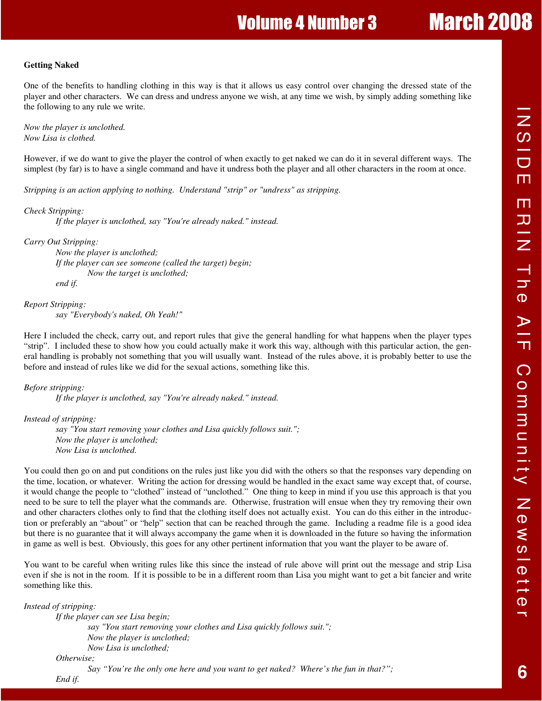<u>In the Common Section</u>  $\overline{\angle}$  $\mathcal O$ <u>In the Company of the Company of the Company of the Company of the Company of the Company of the Company of the Company of the Company of the Company of the Company of the Company of the Company of the Company of the Comp</u>  $\overline{\mathbf{C}}$ 

### **Getting Naked**

One of the benefits to handling clothing in this way is that it allows us easy control over changing the dressed state of the player and other characters. We can dress and undress anyone we wish, at any time we wish, by simply adding something like the following to any rule we write.

*Now the player is unclothed. Now Lisa is clothed.*

However, if we do want to give the player the control of when exactly to get naked we can do it in several different ways. The simplest (by far) is to have a single command and have it undress both the player and all other characters in the room at once.

*Stripping is an action applying to nothing. Understand "strip" or "undress" as stripping.*

*Check Stripping:*

 *If the player is unclothed, say "You're already naked." instead.*

*Carry Out Stripping:*

 *Now the player is unclothed; If the player can see someone (called the target) begin; Now the target is unclothed; end if.*

*Report Stripping:*

 *say "Everybody's naked, Oh Yeah!"*

Here I included the check, carry out, and report rules that give the general handling for what happens when the player types "strip". I included these to show how you could actually make it work this way, although with this particular action, the general handling is probably not something that you will usually want. Instead of the rules above, it is probably better to use the before and instead of rules like we did for the sexual actions, something like this.

*Before stripping:*

 *If the player is unclothed, say "You're already naked." instead.*

*Instead of stripping:*

 *say "You start removing your clothes and Lisa quickly follows suit."; Now the player is unclothed; Now Lisa is unclothed.*

You could then go on and put conditions on the rules just like you did with the others so that the responses vary depending on the time, location, or whatever. Writing the action for dressing would be handled in the exact same way except that, of course, it would change the people to "clothed" instead of "unclothed." One thing to keep in mind if you use this approach is that you need to be sure to tell the player what the commands are. Otherwise, frustration will ensue when they try removing their own and other characters clothes only to find that the clothing itself does not actually exist. You can do this either in the introduction or preferably an "about" or "help" section that can be reached through the game. Including a readme file is a good idea but there is no guarantee that it will always accompany the game when it is downloaded in the future so having the information in game as well is best. Obviously, this goes for any other pertinent information that you want the player to be aware of.

You want to be careful when writing rules like this since the instead of rule above will print out the message and strip Lisa even if she is not in the room. If it is possible to be in a different room than Lisa you might want to get a bit fancier and write something like this.

*Instead of stripping:*

 *If the player can see Lisa begin; say "You start removing your clothes and Lisa quickly follows suit."; Now the player is unclothed; Now Lisa is unclothed;*

 *Otherwise;*

 *Say "You're the only one here and you want to get naked? Where's the fun in that?";*

 *End if.*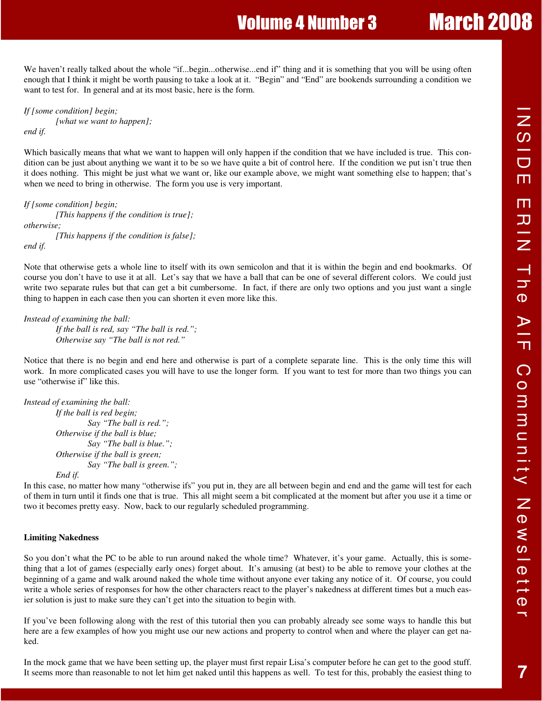We haven't really talked about the whole "if...begin...otherwise...end if" thing and it is something that you will be using often enough that I think it might be worth pausing to take a look at it. "Begin" and "End" are bookends surrounding a condition we want to test for. In general and at its most basic, here is the form.

*If [some condition] begin; [what we want to happen]; end if.*

Which basically means that what we want to happen will only happen if the condition that we have included is true. This condition can be just about anything we want it to be so we have quite a bit of control here. If the condition we put isn't true then it does nothing. This might be just what we want or, like our example above, we might want something else to happen; that's when we need to bring in otherwise. The form you use is very important.

*If [some condition] begin; [This happens if the condition is true]; otherwise; [This happens if the condition is false]; end if.*

Note that otherwise gets a whole line to itself with its own semicolon and that it is within the begin and end bookmarks. Of course you don't have to use it at all. Let's say that we have a ball that can be one of several different colors. We could just write two separate rules but that can get a bit cumbersome. In fact, if there are only two options and you just want a single thing to happen in each case then you can shorten it even more like this.

*Instead of examining the ball: If the ball is red, say "The ball is red."; Otherwise say "The ball is not red."*

Notice that there is no begin and end here and otherwise is part of a complete separate line. This is the only time this will work. In more complicated cases you will have to use the longer form. If you want to test for more than two things you can use "otherwise if" like this.

```
Instead of examining the ball:
          If the ball is red begin;
                    Say "The ball is red.";
          Otherwise if the ball is blue;
                    Say "The ball is blue.";
          Otherwise if the ball is green;
                    Say "The ball is green.";
          End if.
```
In this case, no matter how many "otherwise ifs" you put in, they are all between begin and end and the game will test for each of them in turn until it finds one that is true. This all might seem a bit complicated at the moment but after you use it a time or two it becomes pretty easy. Now, back to our regularly scheduled programming.

### **Limiting Nakedness**

So you don't what the PC to be able to run around naked the whole time? Whatever, it's your game. Actually, this is something that a lot of games (especially early ones) forget about. It's amusing (at best) to be able to remove your clothes at the beginning of a game and walk around naked the whole time without anyone ever taking any notice of it. Of course, you could write a whole series of responses for how the other characters react to the player's nakedness at different times but a much easier solution is just to make sure they can't get into the situation to begin with.

If you've been following along with the rest of this tutorial then you can probably already see some ways to handle this but here are a few examples of how you might use our new actions and property to control when and where the player can get naked.

In the mock game that we have been setting up, the player must first repair Lisa's computer before he can get to the good stuff. It seems more than reasonable to not let him get naked until this happens as well. To test for this, probably the easiest thing to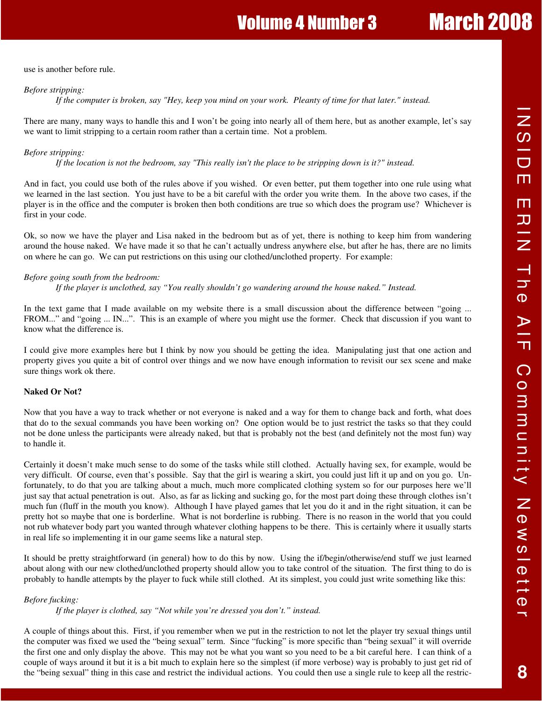use is another before rule.

#### *Before stripping:*

 *If the computer is broken, say "Hey, keep you mind on your work. Pleanty of time for that later." instead.*

There are many, many ways to handle this and I won't be going into nearly all of them here, but as another example, let's say we want to limit stripping to a certain room rather than a certain time. Not a problem.

#### *Before stripping:*

 *If the location is not the bedroom, say "This really isn't the place to be stripping down is it?" instead.*

And in fact, you could use both of the rules above if you wished. Or even better, put them together into one rule using what we learned in the last section. You just have to be a bit careful with the order you write them. In the above two cases, if the player is in the office and the computer is broken then both conditions are true so which does the program use? Whichever is first in your code.

Ok, so now we have the player and Lisa naked in the bedroom but as of yet, there is nothing to keep him from wandering around the house naked. We have made it so that he can't actually undress anywhere else, but after he has, there are no limits on where he can go. We can put restrictions on this using our clothed/unclothed property. For example:

#### *Before going south from the bedroom:*

 *If the player is unclothed, say "You really shouldn't go wandering around the house naked." Instead.*

In the text game that I made available on my website there is a small discussion about the difference between "going ... FROM..." and "going ... IN...". This is an example of where you might use the former. Check that discussion if you want to know what the difference is.

I could give more examples here but I think by now you should be getting the idea. Manipulating just that one action and property gives you quite a bit of control over things and we now have enough information to revisit our sex scene and make sure things work ok there.

#### **Naked Or Not?**

Now that you have a way to track whether or not everyone is naked and a way for them to change back and forth, what does that do to the sexual commands you have been working on? One option would be to just restrict the tasks so that they could not be done unless the participants were already naked, but that is probably not the best (and definitely not the most fun) way to handle it.

Certainly it doesn't make much sense to do some of the tasks while still clothed. Actually having sex, for example, would be very difficult. Of course, even that's possible. Say that the girl is wearing a skirt, you could just lift it up and on you go. Unfortunately, to do that you are talking about a much, much more complicated clothing system so for our purposes here we'll just say that actual penetration is out. Also, as far as licking and sucking go, for the most part doing these through clothes isn't much fun (fluff in the mouth you know). Although I have played games that let you do it and in the right situation, it can be pretty hot so maybe that one is borderline. What is not borderline is rubbing. There is no reason in the world that you could not rub whatever body part you wanted through whatever clothing happens to be there. This is certainly where it usually starts in real life so implementing it in our game seems like a natural step.

It should be pretty straightforward (in general) how to do this by now. Using the if/begin/otherwise/end stuff we just learned about along with our new clothed/unclothed property should allow you to take control of the situation. The first thing to do is probably to handle attempts by the player to fuck while still clothed. At its simplest, you could just write something like this:

#### *Before fucking:*

 *If the player is clothed, say "Not while you're dressed you don't." instead.*

A couple of things about this. First, if you remember when we put in the restriction to not let the player try sexual things until the computer was fixed we used the "being sexual" term. Since "fucking" is more specific than "being sexual" it will override the first one and only display the above. This may not be what you want so you need to be a bit careful here. I can think of a couple of ways around it but it is a bit much to explain here so the simplest (if more verbose) way is probably to just get rid of the "being sexual" thing in this case and restrict the individual actions. You could then use a single rule to keep all the restric-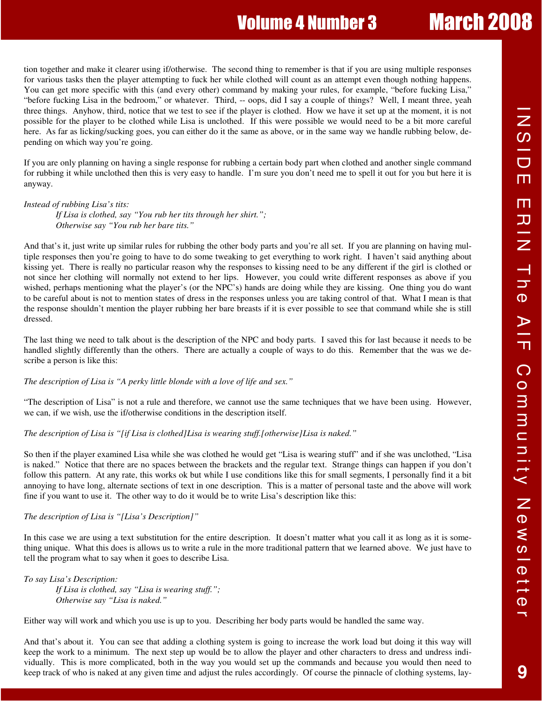tion together and make it clearer using if/otherwise. The second thing to remember is that if you are using multiple responses for various tasks then the player attempting to fuck her while clothed will count as an attempt even though nothing happens. You can get more specific with this (and every other) command by making your rules, for example, "before fucking Lisa," "before fucking Lisa in the bedroom," or whatever. Third, -- oops, did I say a couple of things? Well, I meant three, yeah three things. Anyhow, third, notice that we test to see if the player is clothed. How we have it set up at the moment, it is not possible for the player to be clothed while Lisa is unclothed. If this were possible we would need to be a bit more careful here. As far as licking/sucking goes, you can either do it the same as above, or in the same way we handle rubbing below, depending on which way you're going.

If you are only planning on having a single response for rubbing a certain body part when clothed and another single command for rubbing it while unclothed then this is very easy to handle. I'm sure you don't need me to spell it out for you but here it is anyway.

*Instead of rubbing Lisa's tits:*

 *If Lisa is clothed, say "You rub her tits through her shirt."; Otherwise say "You rub her bare tits."*

And that's it, just write up similar rules for rubbing the other body parts and you're all set. If you are planning on having multiple responses then you're going to have to do some tweaking to get everything to work right. I haven't said anything about kissing yet. There is really no particular reason why the responses to kissing need to be any different if the girl is clothed or not since her clothing will normally not extend to her lips. However, you could write different responses as above if you wished, perhaps mentioning what the player's (or the NPC's) hands are doing while they are kissing. One thing you do want to be careful about is not to mention states of dress in the responses unless you are taking control of that. What I mean is that the response shouldn't mention the player rubbing her bare breasts if it is ever possible to see that command while she is still dressed.

The last thing we need to talk about is the description of the NPC and body parts. I saved this for last because it needs to be handled slightly differently than the others. There are actually a couple of ways to do this. Remember that the was we describe a person is like this:

#### *The description of Lisa is "A perky little blonde with a love of life and sex."*

"The description of Lisa" is not a rule and therefore, we cannot use the same techniques that we have been using. However, we can, if we wish, use the if/otherwise conditions in the description itself.

#### *The description of Lisa is "[if Lisa is clothed]Lisa is wearing stuff.[otherwise]Lisa is naked."*

So then if the player examined Lisa while she was clothed he would get "Lisa is wearing stuff" and if she was unclothed, "Lisa is naked." Notice that there are no spaces between the brackets and the regular text. Strange things can happen if you don't follow this pattern. At any rate, this works ok but while I use conditions like this for small segments, I personally find it a bit annoying to have long, alternate sections of text in one description. This is a matter of personal taste and the above will work fine if you want to use it. The other way to do it would be to write Lisa's description like this:

#### *The description of Lisa is "[Lisa's Description]"*

In this case we are using a text substitution for the entire description. It doesn't matter what you call it as long as it is something unique. What this does is allows us to write a rule in the more traditional pattern that we learned above. We just have to tell the program what to say when it goes to describe Lisa.

*To say Lisa's Description: If Lisa is clothed, say "Lisa is wearing stuff."; Otherwise say "Lisa is naked."*

Either way will work and which you use is up to you. Describing her body parts would be handled the same way.

And that's about it. You can see that adding a clothing system is going to increase the work load but doing it this way will keep the work to a minimum. The next step up would be to allow the player and other characters to dress and undress individually. This is more complicated, both in the way you would set up the commands and because you would then need to keep track of who is naked at any given time and adjust the rules accordingly. Of course the pinnacle of clothing systems, lay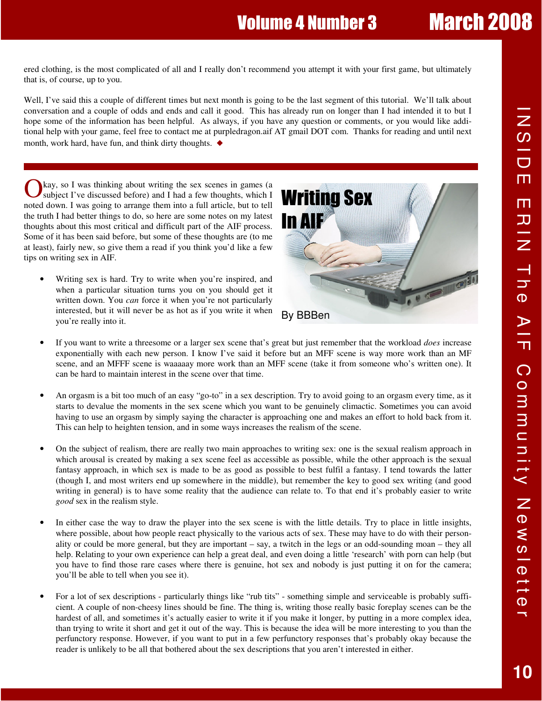ered clothing, is the most complicated of all and I really don't recommend you attempt it with your first game, but ultimately that is, of course, up to you.

Well, I've said this a couple of different times but next month is going to be the last segment of this tutorial. We'll talk about conversation and a couple of odds and ends and call it good. This has already run on longer than I had intended it to but I hope some of the information has been helpful. As always, if you have any question or comments, or you would like additional help with your game, feel free to contact me at purpledragon.aif AT gmail DOT com. Thanks for reading and until next month, work hard, have fun, and think dirty thoughts.  $\triangleleft$ 

O kay, so I was thinking about writing the sex scenes in games (a subject I've discussed before) and I had a few thoughts, which I noted down. I was going to arrange them into a full article, but to tell the truth I had better things to do, so here are some notes on my latest thoughts about this most critical and difficult part of the AIF process. Some of it has been said before, but some of these thoughts are (to me at least), fairly new, so give them a read if you think you'd like a few tips on writing sex in AIF.

Writing sex is hard. Try to write when you're inspired, and when a particular situation turns you on you should get it written down. You *can* force it when you're not particularly interested, but it will never be as hot as if you write it when you're really into it.



- If you want to write a threesome or a larger sex scene that's great but just remember that the workload *does* increase exponentially with each new person. I know I've said it before but an MFF scene is way more work than an MF scene, and an MFFF scene is waaaaay more work than an MFF scene (take it from someone who's written one). It can be hard to maintain interest in the scene over that time.
- An orgasm is a bit too much of an easy "go-to" in a sex description. Try to avoid going to an orgasm every time, as it starts to devalue the moments in the sex scene which you want to be genuinely climactic. Sometimes you can avoid having to use an orgasm by simply saying the character is approaching one and makes an effort to hold back from it. This can help to heighten tension, and in some ways increases the realism of the scene.
- On the subject of realism, there are really two main approaches to writing sex: one is the sexual realism approach in which arousal is created by making a sex scene feel as accessible as possible, while the other approach is the sexual fantasy approach, in which sex is made to be as good as possible to best fulfil a fantasy. I tend towards the latter (though I, and most writers end up somewhere in the middle), but remember the key to good sex writing (and good writing in general) is to have some reality that the audience can relate to. To that end it's probably easier to write *good* sex in the realism style.
- In either case the way to draw the player into the sex scene is with the little details. Try to place in little insights, where possible, about how people react physically to the various acts of sex. These may have to do with their personality or could be more general, but they are important – say, a twitch in the legs or an odd-sounding moan – they all help. Relating to your own experience can help a great deal, and even doing a little 'research' with porn can help (but you have to find those rare cases where there is genuine, hot sex and nobody is just putting it on for the camera; you'll be able to tell when you see it).
- For a lot of sex descriptions particularly things like "rub tits" something simple and serviceable is probably sufficient. A couple of non-cheesy lines should be fine. The thing is, writing those really basic foreplay scenes can be the hardest of all, and sometimes it's actually easier to write it if you make it longer, by putting in a more complex idea, than trying to write it short and get it out of the way. This is because the idea will be more interesting to you than the perfunctory response. However, if you want to put in a few perfunctory responses that's probably okay because the reader is unlikely to be all that bothered about the sex descriptions that you aren't interested in either.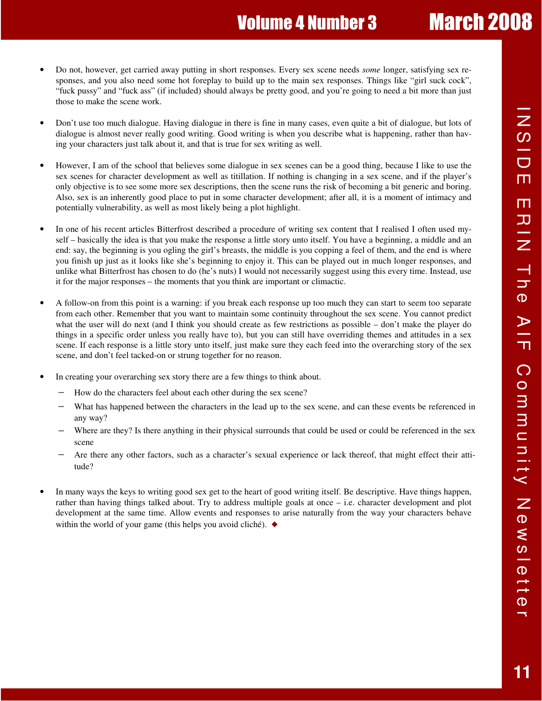- Do not, however, get carried away putting in short responses. Every sex scene needs *some* longer, satisfying sex responses, and you also need some hot foreplay to build up to the main sex responses. Things like "girl suck cock", "fuck pussy" and "fuck ass" (if included) should always be pretty good, and you're going to need a bit more than just those to make the scene work.
- Don't use too much dialogue. Having dialogue in there is fine in many cases, even quite a bit of dialogue, but lots of dialogue is almost never really good writing. Good writing is when you describe what is happening, rather than having your characters just talk about it, and that is true for sex writing as well.
- However, I am of the school that believes some dialogue in sex scenes can be a good thing, because I like to use the sex scenes for character development as well as titillation. If nothing is changing in a sex scene, and if the player's only objective is to see some more sex descriptions, then the scene runs the risk of becoming a bit generic and boring. Also, sex is an inherently good place to put in some character development; after all, it is a moment of intimacy and potentially vulnerability, as well as most likely being a plot highlight.
- In one of his recent articles Bitterfrost described a procedure of writing sex content that I realised I often used myself – basically the idea is that you make the response a little story unto itself. You have a beginning, a middle and an end: say, the beginning is you ogling the girl's breasts, the middle is you copping a feel of them, and the end is where you finish up just as it looks like she's beginning to enjoy it. This can be played out in much longer responses, and unlike what Bitterfrost has chosen to do (he's nuts) I would not necessarily suggest using this every time. Instead, use it for the major responses – the moments that you think are important or climactic.
- A follow-on from this point is a warning: if you break each response up too much they can start to seem too separate from each other. Remember that you want to maintain some continuity throughout the sex scene. You cannot predict what the user will do next (and I think you should create as few restrictions as possible – don't make the player do things in a specific order unless you really have to), but you can still have overriding themes and attitudes in a sex scene. If each response is a little story unto itself, just make sure they each feed into the overarching story of the sex scene, and don't feel tacked-on or strung together for no reason.
- In creating your overarching sex story there are a few things to think about.
	- How do the characters feel about each other during the sex scene?
	- − What has happened between the characters in the lead up to the sex scene, and can these events be referenced in any way?
	- − Where are they? Is there anything in their physical surrounds that could be used or could be referenced in the sex scene
	- − Are there any other factors, such as a character's sexual experience or lack thereof, that might effect their attitude?
- In many ways the keys to writing good sex get to the heart of good writing itself. Be descriptive. Have things happen, rather than having things talked about. Try to address multiple goals at once – i.e. character development and plot development at the same time. Allow events and responses to arise naturally from the way your characters behave within the world of your game (this helps you avoid cliché). ◆